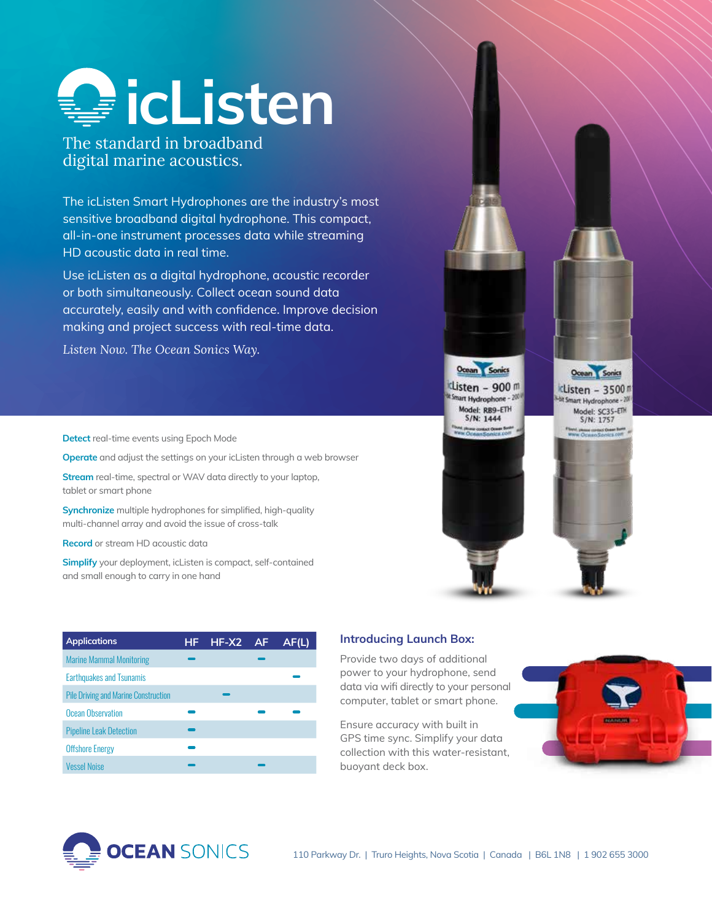

The standard in broadband digital marine acoustics.

The icListen Smart Hydrophones are the industry's most sensitive broadband digital hydrophone. This compact, all-in-one instrument processes data while streaming HD acoustic data in real time.

Use icListen as a digital hydrophone, acoustic recorder or both simultaneously. Collect ocean sound data accurately, easily and with confidence. Improve decision making and project success with real-time data.

*Listen Now. The Ocean Sonics Way.*

**Detect** real-time events using Epoch Mode

**Operate** and adjust the settings on your icListen through a web browser

**Stream** real-time, spectral or WAV data directly to your laptop, tablet or smart phone

**Synchronize** multiple hydrophones for simplified, high-quality multi-channel array and avoid the issue of cross-talk

**Record** or stream HD acoustic data

**Simplify** your deployment, icListen is compact, self-contained and small enough to carry in one hand

| <b>Applications</b>                         | HF | $HF-X2$ | -AF | AF(L) |
|---------------------------------------------|----|---------|-----|-------|
| <b>Marine Mammal Monitoring</b>             |    |         |     |       |
| <b>Earthquakes and Tsunamis</b>             |    |         |     |       |
| <b>Pile Driving and Marine Construction</b> |    |         |     |       |
| Ocean Observation                           |    |         |     |       |
| <b>Pipeline Leak Detection</b>              |    |         |     |       |
| <b>Offshore Energy</b>                      |    |         |     |       |
| <b>Vessel Noise</b>                         |    |         |     |       |

## **Introducing Launch Box:**

Provide two days of additional power to your hydrophone, send data via wifi directly to your personal computer, tablet or smart phone.

Ensure accuracy with built in GPS time sync. Simplify your data collection with this water-resistant, buoyant deck box.



Ocean Sonic

clisten - 3500<sup>m</sup>

art Hydrophone - 20

Model: SC35-ETH S/N: 1757

Photo contact Goage Barth<br>| Chroman Scunders.com



Ocean Sonics

Listen - 900 m

Shart Hydrophone - 200

Model: RB9-ETH<br>S/N: 1444

.<br>III: Orienn Romins D.